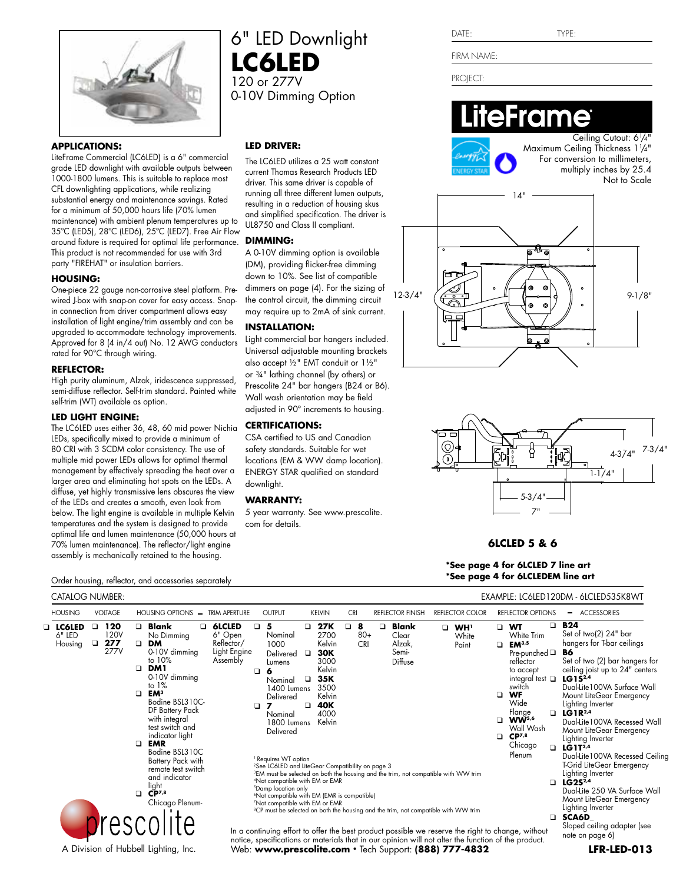

#### **APPLICATIONS:**

LiteFrame Commercial (LC6LED) is a 6" commercial grade LED downlight with available outputs between 1000-1800 lumens. This is suitable to replace most CFL downlighting applications, while realizing substantial energy and maintenance savings. Rated for a minimum of 50,000 hours life (70% lumen maintenance) with ambient plenum temperatures up to 35ºC (LED5), 28ºC (LED6), 25ºC (LED7). Free Air Flow around fixture is required for optimal life performance. This product is not recommended for use with 3rd party "FIREHAT" or insulation barriers.

#### **HOUSING:**

One-piece 22 gauge non-corrosive steel platform. Prewired J-box with snap-on cover for easy access. Snapin connection from driver compartment allows easy installation of light engine/trim assembly and can be upgraded to accommodate technology improvements. Approved for 8 (4 in/4 out) No. 12 AWG conductors rated for 90°C through wiring.

#### **REFLECTOR:**

High purity aluminum, Alzak, iridescence suppressed, semi-diffuse reflector. Self-trim standard. Painted white self-trim (WT) available as option.

### **LED LIGHT ENGINE:**

The LC6LED uses either 36, 48, 60 mid power Nichia LEDs, specifically mixed to provide a minimum of 80 CRI with 3 SCDM color consistency. The use of multiple mid power LEDs allows for optimal thermal management by effectively spreading the heat over a larger area and eliminating hot spots on the LEDs. A diffuse, yet highly transmissive lens obscures the view of the LEDs and creates a smooth, even look from below. The light engine is available in multiple Kelvin temperatures and the system is designed to provide optimal life and lumen maintenance (50,000 hours at 70% lumen maintenance). The reflector/light engine assembly is mechanically retained to the housing.

# **LED DRIVER:**

**LC6LED** 120 or 277V

> The LC6LED utilizes a 25 watt constant current Thomas Research Products LED driver. This same driver is capable of running all three different lumen outputs, resulting in a reduction of housing skus and simplified specification. The driver is UL8750 and Class II compliant.

6" LED Downlight

0-10V Dimming Option

#### **DIMMING:**

A 0-10V dimming option is available (DM), providing flicker-free dimming down to 10%. See list of compatible dimmers on page (4). For the sizing of the control circuit, the dimming circuit may require up to 2mA of sink current.

# **INSTALLATION:**

Light commercial bar hangers included. Universal adjustable mounting brackets also accept ½" EMT conduit or 1½" or ¾" lathing channel (by others) or Prescolite 24" bar hangers (B24 or B6). Wall wash orientation may be field adjusted in 90º increments to housing.

# **CERTIFICATIONS:**

CSA certified to US and Canadian safety standards. Suitable for wet locations (EM & WW damp location). ENERGY STAR qualified on standard downlight.

# **WARRANTY:**

5 year warranty. See www.prescolite. com for details.

FIRM NAME:

PROJECT:

# eFrame Ceiling Cutout: 61/4"



Maximum Ceiling Thickness 11 /4" For conversion to millimeters, multiply inches by 25.4 Not to Scale





# **6LCLED 5 & 6**

**\*See page 4 for 6LCLED 7 line art \*See page 4 for 6LCLEDEM line art**

Order housing, reflector, and accessories separately

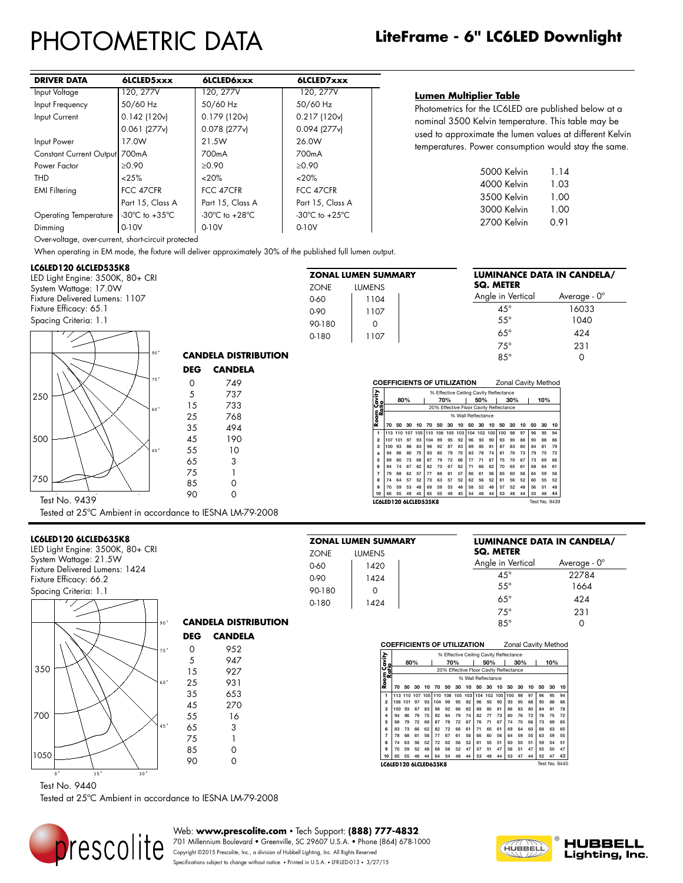# PHOTOMETRIC DATA

|                         | LiteFrame - 6" LC6LED Downlight |  |
|-------------------------|---------------------------------|--|
| $\overline{\mathsf{A}}$ |                                 |  |

| <b>DRIVER DATA</b>            | 6LCLED5xxx                         | <b>6LCLED6xxx</b>                  | 6LCLED7xxx                         |
|-------------------------------|------------------------------------|------------------------------------|------------------------------------|
| Input Voltage                 | 120, 277V                          | 120, 277V                          | 120, 277V                          |
| Input Frequency               | 50/60 Hz                           | 50/60 Hz                           | 50/60 Hz                           |
| Input Current                 | $0.142$ (120 $v$ )                 | 0.179 (120v)                       | 0.217 (120v)                       |
|                               | $0.061$ (277 $v$ )                 | $0.078$ (277 $v$ )                 | $0.094$ (277 $v$ )                 |
| Input Power                   | 17.0W                              | 21.5W                              | 26.0W                              |
| Constant Current Output 700mA |                                    | 700mA                              | 700 <sub>m</sub> A                 |
| Power Factor                  | $\ge 0.90$                         | $\ge 0.90$                         | $\ge 0.90$                         |
| THD                           | < 25%                              | <20%                               | $<20\%$                            |
| <b>EMI Filtering</b>          | FCC 47CFR                          | FCC 47CFR                          | FCC 47CFR                          |
|                               | Part 15, Class A                   | Part 15, Class A                   | Part 15, Class A                   |
| <b>Operating Temperature</b>  | -30 $\degree$ C to +35 $\degree$ C | -30 $\degree$ C to +28 $\degree$ C | -30 $\degree$ C to +25 $\degree$ C |
| Dimmina                       | $0-10V$                            | $0-10V$                            | 0-10V                              |

**Lumen Multiplier Table**

Photometrics for the LC6LED are published below at a nominal 3500 Kelvin temperature. This table may be used to approximate the lumen values at different Kelvin temperatures. Power consumption would stay the same.

| 5000 Kelvin | 1.14 |
|-------------|------|
| 4000 Kelvin | 1.03 |
| 3500 Kelvin | 1.00 |
| 3000 Kelvin | 1.00 |
| 2700 Kelvin | 0.91 |
|             |      |

**SQ. METER**

**ZONAL LUMEN SUMMARY** ZONE LUMENS 0-60 1104 0-90 1107 90-180 0 0-180 1107

**ZONAL LUMEN SUMMARY** ZONE LUMENS 0-60 | 1420 0-90 1424

**Room Cavity Ratio**

**LC6LED120 6LCLED535K8** 

**LUMINANCE DATA IN CANDELA/**

**LUMINANCE DATA IN CANDELA/**

Angle in Vertical Average - 0° 45° 22784

Angle in Vertical Average - 0° 45° 16033 55° 1040 65° 424 75° 231 85° 0

Over-voltage, over-current, short-circuit protected

When operating in EM mode, the fixture will deliver approximately 30% of the published full lumen output.

90 0

**CANDELA DISTRIBUTION DEG CANDELA** 0 749 5 737 15 733 25 768

# **LC6LED120 6LCLED535K8**

LED Light Engine: 3500K, 80+ CRI System Wattage: 17.0W Fixture Delivered Lumens: 1107 Fixture Efficacy: 65.1 Spacing Criteria: 1.1



Tested at 25ºC Ambient in accordance to IESNA LM-79-2008

### **LC6LED120 6LCLED635K8**

LED Light Engine: 3500K, 80+ CRI System Wattage: 21.5W Fixture Delivered Lumens: 1424 Fixture Efficacy: 66.2



**CANDELA DISTRIBUTION DEG CANDELA** 0 952 5 947<br>15 927 927 25 931



65 3 75 1 85 0<br>90 0  $90$ 

#### 55° 1664 65° 424 75° 231 85° 0 90-180 0 0-180 1424

**COEFFICIENTS OF UTILIZATION** Zonal Cavity Method

1 113 110 107 105 110 199 195 192 | 96 193 100 100 198 179 189 194<br>
2 107 101 97 193 104 99 195 12 | 96 193 100 100 198 198 198 198<br>
4 194 86 80 75 193 85 193 175 175 176 176 176 178 199 176 177 189<br>
5 89 80 73 88 87 79 7

**10** 66 55 49 45 65 55 49 45 54 48 44 53 48 44 53 48 44

% Effective Ceiling Cavity Reflectance<br>70% | 50% | 30% **80% 70% 50% 30% 10%** 20% Effective Floor Cavity Reflectance % Wall Reflectance **70 50 30 10 70 50 30 10 50 30 10 50 30 10 50 30 10**

**SQ. METER**

|                       |     |                                        |     |    |         |     |    |                     |    |     |    |                                        |     |    |     |    | Lonar oavity iviolitoa |
|-----------------------|-----|----------------------------------------|-----|----|---------|-----|----|---------------------|----|-----|----|----------------------------------------|-----|----|-----|----|------------------------|
|                       |     | % Effective Ceiling Cavity Reflectance |     |    |         |     |    |                     |    |     |    |                                        |     |    |     |    |                        |
|                       |     | 80%                                    |     |    |         | 70% |    |                     |    | 50% |    |                                        | 30% |    | 10% |    |                        |
|                       |     |                                        |     |    |         |     |    |                     |    |     |    | 20% Effective Floor Cavity Reflectance |     |    |     |    |                        |
| Room Caviry<br>Ratio  |     |                                        |     |    |         |     |    | % Wall Reflectance  |    |     |    |                                        |     |    |     |    |                        |
|                       | 70  | 50                                     | 30  | 10 | 70      | 50  | 30 | 10                  | 50 | 30  | 10 | 50                                     | 30  | 10 | 50  | 30 | 10                     |
| 1                     |     | 113 110                                | 107 |    | 105 110 | 108 |    | 105 103 104 102 100 |    |     |    | 100                                    | 98  | 97 | 96  | 95 | 94                     |
| 2                     | 106 | 101                                    | 97  | 93 | 104     | 99  | 95 | 92                  | 96 | 93  | 90 | 93                                     | 90  | 88 | 90  | 88 | 86                     |
| 3                     | 100 | 93                                     | 87  | 83 | 98      | 92  | 86 | 82                  | 89 | 85  | 81 | 86                                     | 83  | 80 | 84  | 81 | 78                     |
| 4                     | 94  | 86                                     | 79  | 75 | 92      | 84  | 79 | 74                  | 82 | 77  | 73 | 80                                     | 76  | 72 | 78  | 75 | 72                     |
| 5                     | 88  | 79                                     | 72  | 68 | 87      | 78  | 72 | 67                  | 76 | 71  | 67 | 74                                     | 70  | 66 | 73  | 69 | 65                     |
| 6                     | 83  | 73                                     | 66  | 62 | 82      | 72  | 66 | 61                  | 71 | 65  | 61 | 69                                     | 64  | 60 | 68  | 63 | 60                     |
| 7                     | 78  | 68                                     | 61  | 56 | 77      | 67  | 61 | 56                  | 66 | 60  | 56 | 64                                     | 59  | 55 | 63  | 59 | 55                     |
| 8                     | 74  | 63                                     | 56  | 52 | 72      | 62  | 56 | 52                  | 61 | 55  | 51 | 60                                     | 55  | 51 | 59  | 54 | 51                     |
| 9                     | 70  | 59                                     | 52  | 48 | 68      | 58  | 52 | 47                  | 57 | 51  | 47 | 56                                     | 51  | 47 | 55  | 50 | 47                     |
| 10                    | 65  | 55                                     | 48  | 44 | 64      | 54  | 48 | 44                  | 53 | 48  | 44 | 53                                     | 47  | 44 | 52  | 47 | 43                     |
| LC6LED120 6LCLED635K8 |     |                                        |     |    |         |     |    |                     |    |     |    |                                        |     |    |     |    | <b>Test No. 9440</b>   |

**COEFFICIENTS OF UTILIZATION** Zonal Cavity Method

Test No. 9440

Tested at 25ºC Ambient in accordance to IESNA LM-79-2008



Web: **www.prescolite.com** • Tech Support: **(888) 777-4832**

701 Millennium Boulevard • Greenville, SC 29607 U.S.A. • Phone (864) 678-1000 **THE REPORT IS A COPYRIGHT ON PUBLISHED ON PUBLISHED ON PUBLISHED ON PUBLISHED ON PUBLISHED ON PUBLISHED IS A SERVED ON PUBLISHED ON PUBLISHED IS BASED ON PUBLISHED INDUSTRY PROCEDURES.** Specifications subject to change without notice. • Printed in U.S.A. • LFR-LED-013 • 3/27/15



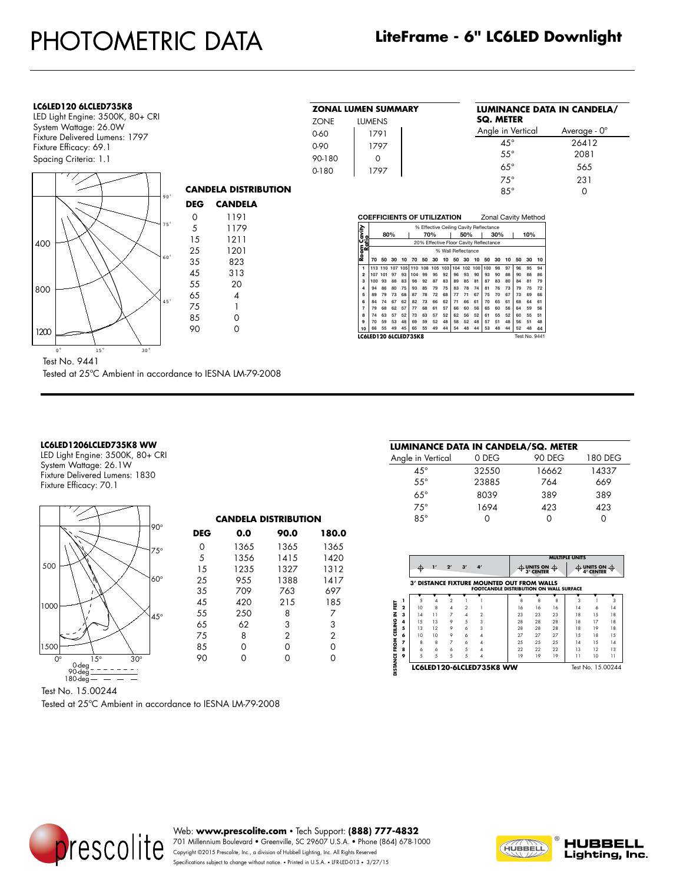# **LC6LED120 6LCLED735K8**

BALLAST: 1 - Thomas Research Const. Current Driver w/ TP connected

LED Light Engine: 3500K, 80+ CRI System Wattage: 26.0W Fixture Delivered Lumens: 1797 Fixture Efficacy: 69.1 Spacing Criteria: 1.1



| <b>ZONAL LUMEN SUMMARY</b> |      |  |  |  |  |  |  |  |  |
|----------------------------|------|--|--|--|--|--|--|--|--|
| <b>ZONE</b><br>LUMENS      |      |  |  |  |  |  |  |  |  |
| 0-60                       | 1791 |  |  |  |  |  |  |  |  |
| $0 - 90$                   | 1797 |  |  |  |  |  |  |  |  |
| 90-180                     | ∩    |  |  |  |  |  |  |  |  |
| $0 - 180$                  | 1797 |  |  |  |  |  |  |  |  |

#### **LUMINANCE DATA IN CANDELA/ SQ. METER** Angle in Vertical Average - 0° 45° 26412<br>55° 2081 55° 2081

65° 565 75° 231 85° 0

| <b>COEFFICIENTS OF UTILIZATION</b> |     |                                        |     |     |     |     |     |     |     |                    |     |                                        |     |    |     |    | Zonal Cavity Method |
|------------------------------------|-----|----------------------------------------|-----|-----|-----|-----|-----|-----|-----|--------------------|-----|----------------------------------------|-----|----|-----|----|---------------------|
|                                    |     | % Effective Ceiling Cavity Reflectance |     |     |     |     |     |     |     |                    |     |                                        |     |    |     |    |                     |
| Room Cavity<br>Ratio               |     | 80%                                    |     |     |     |     | 70% |     |     | 50%                |     |                                        | 30% |    | 10% |    |                     |
|                                    |     |                                        |     |     |     |     |     |     |     |                    |     | 20% Effective Floor Cavity Reflectance |     |    |     |    |                     |
|                                    |     |                                        |     |     |     |     |     |     |     | % Wall Reflectance |     |                                        |     |    |     |    |                     |
|                                    | 70  | 50                                     | 30  | 10  | 70  | 50  | 30  | 10  | 50  | 30                 | 10  | 50                                     | 30  | 10 | 50  | 30 | 10                  |
| 1                                  | 113 | 110                                    | 107 | 105 | 110 | 108 | 105 | 103 | 104 | 102                | 100 | 100                                    | 98  | 97 | 96  | 95 | 94                  |
| $\overline{2}$                     | 107 | 101                                    | 97  | 93  | 104 | 99  | 95  | 92  | 96  | 93                 | 90  | 93                                     | 90  | 88 | 90  | 88 | 86                  |
| 3                                  | 100 | 93                                     | 88  | 83  | 98  | 92  | 87  | 83  | 89  | 85                 | 81  | 87                                     | 83  | 80 | 84  | 81 | 79                  |
| 4                                  | 94  | 86                                     | 80  | 75  | 93  | 85  | 79  | 75  | 83  | 78                 | 74  | 81                                     | 76  | 73 | 79  | 75 | 72                  |
| 5                                  | 89  | 79                                     | 73  | 68  | 87  | 78  | 72  | 68  | 77  | 71                 | 67  | 75                                     | 70  | 67 | 73  | 69 | 66                  |
| 6                                  | 84  | 74                                     | 67  | 62  | 82  | 73  | 66  | 62  | 71  | 66                 | 61  | 70                                     | 65  | 61 | 68  | 64 | 61                  |
| 7                                  | 79  | 68                                     | 62  | 57  | 77  | 68  | 61  | 57  | 66  | 60                 | 56  | 65                                     | 60  | 56 | 64  | 59 | 56                  |
| 8                                  | 74  | 63                                     | 57  | 52  | 73  | 63  | 57  | 52  | 62  | 56                 | 52  | 61                                     | 55  | 52 | 60  | 55 | 51                  |
| $\ddot{a}$                         | 70  | 59                                     | 53  | 48  | 69  | 59  | 52  | 48  | 58  | 52                 | 48  | 57                                     | 51  | 48 | 56  | 51 | 48                  |
| 10                                 | 66  | 55                                     | 49  | 45  | 65  | 55  | 49  | 44  | 54  | 48                 | 44  | 53                                     | 48  | 44 | 52  | 48 | 44                  |
| LC6LED120 6LCLED735K8              |     |                                        |     |     |     |     |     |     |     |                    |     |                                        |     |    |     |    | Test No. 9441       |

 $Test No. 9441$ 

LUMINAIRE: 6" LiteFrame Commercial LED Wallwash Tested at 25ºC Ambient in accordance to IESNA LM-79-2008

# **LC6LED1206LCLED735K8 WW**

LED Light Engine: 3500K, 80+ CRI System Wattage: 26.1W Fixture Delivered Lumens: 1830 Fixture Efficacy: 70.1



Test No. 15.00244

Tested at 25ºC Ambient in accordance to IESNA LM-79-2008

| LUMINANCE DATA IN CANDELA/SQ. METER |       |               |         |
|-------------------------------------|-------|---------------|---------|
| Angle in Vertical                   | 0 DEG | <b>90 DEG</b> | 180 DEG |
| $4.5^\circ$                         | 32550 | 16662         | 14337   |
| $5.5^\circ$                         | 23885 | 764           | 669     |
| $6.5^\circ$                         | 8039  | 389           | 389     |
| $7.5^\circ$                         | 1694  | 423           | 423     |
| $8.5^\circ$                         |       |               |         |
|                                     |       |               |         |

|              | Æ.  |    | 2 <sup>r</sup> | 3'            | 4'                       |                                                                                              | $\uparrow$ units on $\uparrow$<br><b>3' CENTER</b> |    | <b>MULTIPLE UNITS</b> | $\pitchfork$ units on $\pitchfork$<br><b>4' CENTER</b> |     |
|--------------|-----|----|----------------|---------------|--------------------------|----------------------------------------------------------------------------------------------|----------------------------------------------------|----|-----------------------|--------------------------------------------------------|-----|
|              |     |    |                |               |                          | 3' DISTANCE FIXTURE MOUNTED OUT FROM WALLS<br><b>FOOTCANDLE DISTRIBUTION ON WALL SURFACE</b> |                                                    |    |                       |                                                        |     |
|              |     |    |                |               |                          |                                                                                              |                                                    |    |                       |                                                        |     |
| 1            | 5   | Λ  | 2              |               |                          | 8                                                                                            | 8                                                  | 8  | 3                     |                                                        | 3   |
| $\mathbf{2}$ | 10  | 8  | 4              | $\mathcal{P}$ |                          | 16                                                                                           | 16                                                 | 16 | 14                    | 6                                                      | 14  |
| 3            | 14  | 11 | $\overline{7}$ | 4             | 2                        | 23                                                                                           | 23                                                 | 23 | 18                    | 1.5                                                    | 18  |
| 4            | 1.5 | 13 | 9              | 5             | 3                        | 28                                                                                           | 28                                                 | 28 | 18                    | 17                                                     | 18  |
| 5            | 13  | 12 | 9              | 6             | 3                        | 28                                                                                           | 28                                                 | 28 | 18                    | 19                                                     | 18  |
| 6            | 10  | 10 | 9              | 6             | 4                        | 27                                                                                           | 27                                                 | 27 | 1.5                   | 18                                                     | 1.5 |
| 7            | 8   | 8  | $\overline{7}$ | 6             | 4                        | 25                                                                                           | 25                                                 | 25 | 14                    | 1.5                                                    | 14  |
| 8            | 6   | 6  | 6              | 5             | 4                        | 22                                                                                           | 22                                                 | 22 | 13                    | 12                                                     | 13  |
| ۰            | 5   | 5  | 5              | 5             | 4                        | 19                                                                                           | 19                                                 | 19 | 11                    | 10                                                     | 11  |
|              |     |    |                |               | LC6LED120-6LCLED735K8 WW |                                                                                              |                                                    |    |                       | Test No. 15.00244                                      |     |



Web: **www.prescolite.com** • Tech Support: **(888) 777-4832** 701 Millennium Boulevard • Greenville, SC 29607 U.S.A. • Phone (864) 678-1000 Copyright ©2015 Prescolite, Inc., a division of Hubbell Lighting, Inc. All Rights Reserved Specifications subject to change without notice. • Printed in U.S.A. • LFR-LED-013 • 3/27/15

**CANDELA DISTRIBUTION DEG 0.0 90.0 180.0** 0 1365 1365 1365 5 1356 1415 1420

25 955 1388 1417 35 709 763 697 45 420 215 185 55 250 8 7<br>65 62 3 3 65 62 3 3 75 8 2 2 85 0 0 0 90 0 0 0

1235